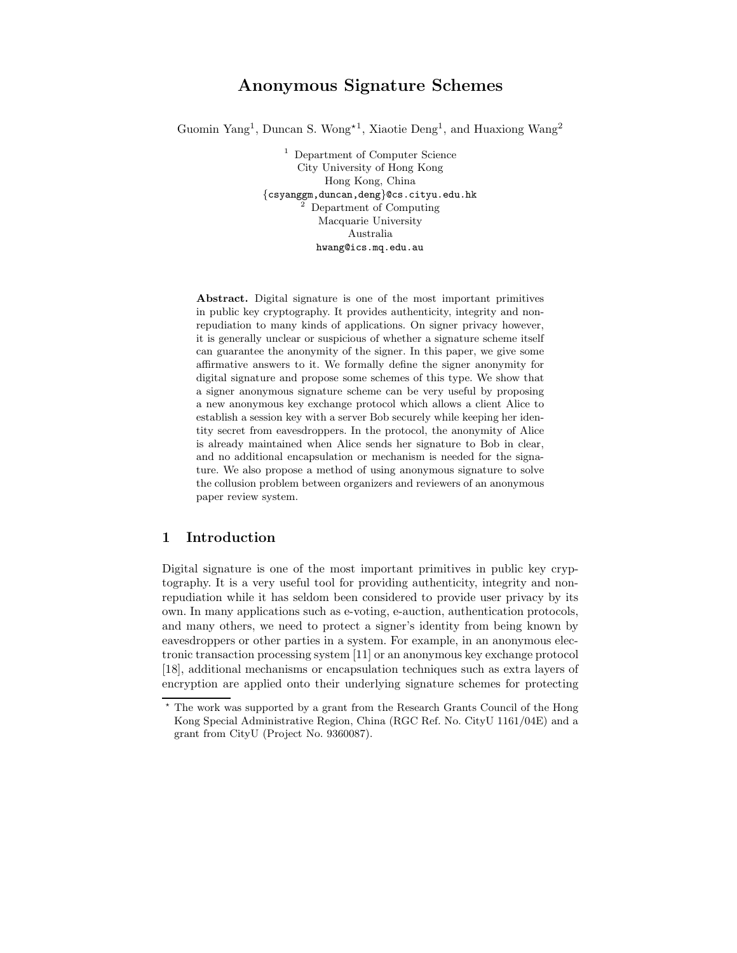# Anonymous Signature Schemes

Guomin Yang<sup>1</sup>, Duncan S. Wong<sup>\*1</sup>, Xiaotie Deng<sup>1</sup>, and Huaxiong Wang<sup>2</sup>

<sup>1</sup> Department of Computer Science City University of Hong Kong Hong Kong, China {csyanggm,duncan,deng}@cs.cityu.edu.hk <sup>2</sup> Department of Computing Macquarie University Australia hwang@ics.mq.edu.au

Abstract. Digital signature is one of the most important primitives in public key cryptography. It provides authenticity, integrity and nonrepudiation to many kinds of applications. On signer privacy however, it is generally unclear or suspicious of whether a signature scheme itself can guarantee the anonymity of the signer. In this paper, we give some affirmative answers to it. We formally define the signer anonymity for digital signature and propose some schemes of this type. We show that a signer anonymous signature scheme can be very useful by proposing a new anonymous key exchange protocol which allows a client Alice to establish a session key with a server Bob securely while keeping her identity secret from eavesdroppers. In the protocol, the anonymity of Alice is already maintained when Alice sends her signature to Bob in clear, and no additional encapsulation or mechanism is needed for the signature. We also propose a method of using anonymous signature to solve the collusion problem between organizers and reviewers of an anonymous paper review system.

# 1 Introduction

Digital signature is one of the most important primitives in public key cryptography. It is a very useful tool for providing authenticity, integrity and nonrepudiation while it has seldom been considered to provide user privacy by its own. In many applications such as e-voting, e-auction, authentication protocols, and many others, we need to protect a signer's identity from being known by eavesdroppers or other parties in a system. For example, in an anonymous electronic transaction processing system [11] or an anonymous key exchange protocol [18], additional mechanisms or encapsulation techniques such as extra layers of encryption are applied onto their underlying signature schemes for protecting

 $^\star$  The work was supported by a grant from the Research Grants Council of the Hong Kong Special Administrative Region, China (RGC Ref. No. CityU 1161/04E) and a grant from CityU (Project No. 9360087).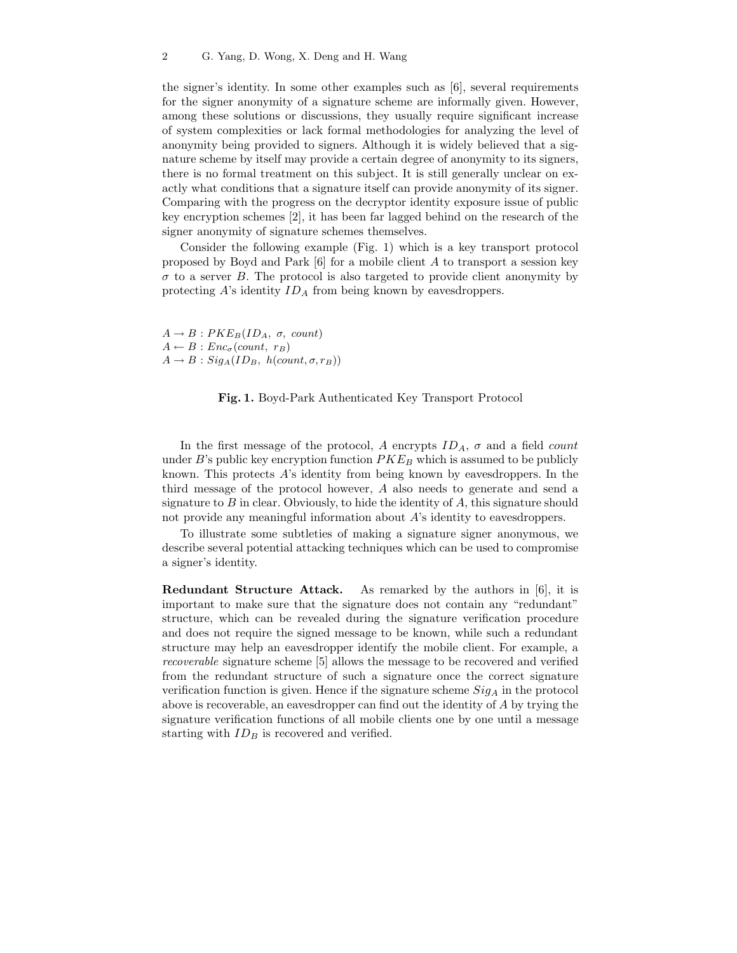the signer's identity. In some other examples such as [6], several requirements for the signer anonymity of a signature scheme are informally given. However, among these solutions or discussions, they usually require significant increase of system complexities or lack formal methodologies for analyzing the level of anonymity being provided to signers. Although it is widely believed that a signature scheme by itself may provide a certain degree of anonymity to its signers, there is no formal treatment on this subject. It is still generally unclear on exactly what conditions that a signature itself can provide anonymity of its signer. Comparing with the progress on the decryptor identity exposure issue of public key encryption schemes [2], it has been far lagged behind on the research of the signer anonymity of signature schemes themselves.

Consider the following example (Fig. 1) which is a key transport protocol proposed by Boyd and Park [6] for a mobile client A to transport a session key  $\sigma$  to a server B. The protocol is also targeted to provide client anonymity by protecting  $A$ 's identity  $ID_A$  from being known by eavesdroppers.

 $A \rightarrow B$ :  $PKE_B(ID_A, \sigma, count)$  $A \leftarrow B : Enc_{\sigma}(count, r_B)$  $A \rightarrow B$ :  $Sig_A(ID_B, h(count, \sigma, r_B))$ 

#### Fig. 1. Boyd-Park Authenticated Key Transport Protocol

In the first message of the protocol, A encrypts  $ID_A$ ,  $\sigma$  and a field count under B's public key encryption function  $PKE_B$  which is assumed to be publicly known. This protects A's identity from being known by eavesdroppers. In the third message of the protocol however, A also needs to generate and send a signature to  $B$  in clear. Obviously, to hide the identity of  $A$ , this signature should not provide any meaningful information about A's identity to eavesdroppers.

To illustrate some subtleties of making a signature signer anonymous, we describe several potential attacking techniques which can be used to compromise a signer's identity.

Redundant Structure Attack. As remarked by the authors in [6], it is important to make sure that the signature does not contain any "redundant" structure, which can be revealed during the signature verification procedure and does not require the signed message to be known, while such a redundant structure may help an eavesdropper identify the mobile client. For example, a recoverable signature scheme [5] allows the message to be recovered and verified from the redundant structure of such a signature once the correct signature verification function is given. Hence if the signature scheme  $Sig_A$  in the protocol above is recoverable, an eavesdropper can find out the identity of A by trying the signature verification functions of all mobile clients one by one until a message starting with  $ID_B$  is recovered and verified.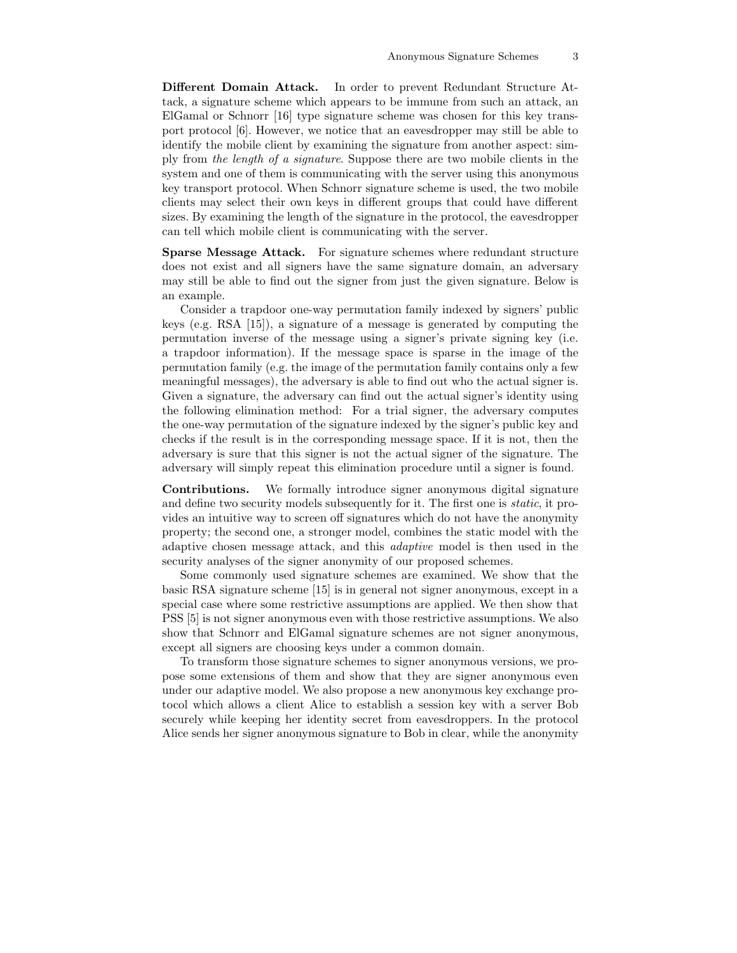Different Domain Attack. In order to prevent Redundant Structure Attack, a signature scheme which appears to be immune from such an attack, an ElGamal or Schnorr [16] type signature scheme was chosen for this key transport protocol [6]. However, we notice that an eavesdropper may still be able to identify the mobile client by examining the signature from another aspect: simply from the length of a signature. Suppose there are two mobile clients in the system and one of them is communicating with the server using this anonymous key transport protocol. When Schnorr signature scheme is used, the two mobile clients may select their own keys in different groups that could have different sizes. By examining the length of the signature in the protocol, the eavesdropper can tell which mobile client is communicating with the server.

Sparse Message Attack. For signature schemes where redundant structure does not exist and all signers have the same signature domain, an adversary may still be able to find out the signer from just the given signature. Below is an example.

Consider a trapdoor one-way permutation family indexed by signers' public keys (e.g. RSA [15]), a signature of a message is generated by computing the permutation inverse of the message using a signer's private signing key (i.e. a trapdoor information). If the message space is sparse in the image of the permutation family (e.g. the image of the permutation family contains only a few meaningful messages), the adversary is able to find out who the actual signer is. Given a signature, the adversary can find out the actual signer's identity using the following elimination method: For a trial signer, the adversary computes the one-way permutation of the signature indexed by the signer's public key and checks if the result is in the corresponding message space. If it is not, then the adversary is sure that this signer is not the actual signer of the signature. The adversary will simply repeat this elimination procedure until a signer is found.

Contributions. We formally introduce signer anonymous digital signature and define two security models subsequently for it. The first one is static, it provides an intuitive way to screen off signatures which do not have the anonymity property; the second one, a stronger model, combines the static model with the adaptive chosen message attack, and this adaptive model is then used in the security analyses of the signer anonymity of our proposed schemes.

Some commonly used signature schemes are examined. We show that the basic RSA signature scheme [15] is in general not signer anonymous, except in a special case where some restrictive assumptions are applied. We then show that PSS [5] is not signer anonymous even with those restrictive assumptions. We also show that Schnorr and ElGamal signature schemes are not signer anonymous, except all signers are choosing keys under a common domain.

To transform those signature schemes to signer anonymous versions, we propose some extensions of them and show that they are signer anonymous even under our adaptive model. We also propose a new anonymous key exchange protocol which allows a client Alice to establish a session key with a server Bob securely while keeping her identity secret from eavesdroppers. In the protocol Alice sends her signer anonymous signature to Bob in clear, while the anonymity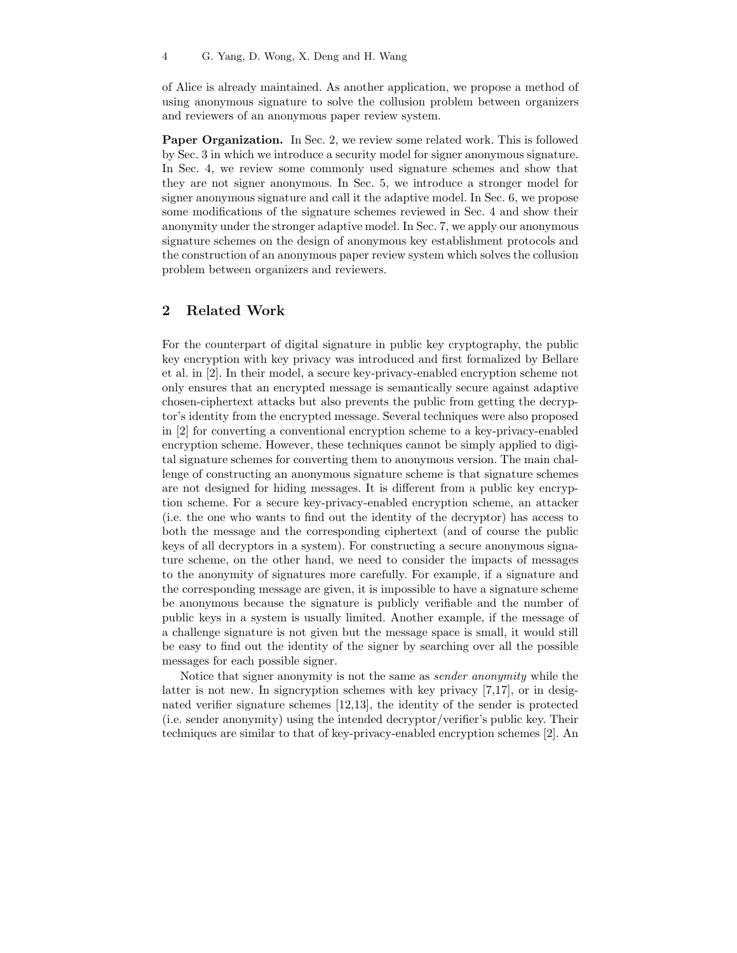of Alice is already maintained. As another application, we propose a method of using anonymous signature to solve the collusion problem between organizers and reviewers of an anonymous paper review system.

Paper Organization. In Sec. 2, we review some related work. This is followed by Sec. 3 in which we introduce a security model for signer anonymous signature. In Sec. 4, we review some commonly used signature schemes and show that they are not signer anonymous. In Sec. 5, we introduce a stronger model for signer anonymous signature and call it the adaptive model. In Sec. 6, we propose some modifications of the signature schemes reviewed in Sec. 4 and show their anonymity under the stronger adaptive model. In Sec. 7, we apply our anonymous signature schemes on the design of anonymous key establishment protocols and the construction of an anonymous paper review system which solves the collusion problem between organizers and reviewers.

# 2 Related Work

For the counterpart of digital signature in public key cryptography, the public key encryption with key privacy was introduced and first formalized by Bellare et al. in [2]. In their model, a secure key-privacy-enabled encryption scheme not only ensures that an encrypted message is semantically secure against adaptive chosen-ciphertext attacks but also prevents the public from getting the decryptor's identity from the encrypted message. Several techniques were also proposed in [2] for converting a conventional encryption scheme to a key-privacy-enabled encryption scheme. However, these techniques cannot be simply applied to digital signature schemes for converting them to anonymous version. The main challenge of constructing an anonymous signature scheme is that signature schemes are not designed for hiding messages. It is different from a public key encryption scheme. For a secure key-privacy-enabled encryption scheme, an attacker (i.e. the one who wants to find out the identity of the decryptor) has access to both the message and the corresponding ciphertext (and of course the public keys of all decryptors in a system). For constructing a secure anonymous signature scheme, on the other hand, we need to consider the impacts of messages to the anonymity of signatures more carefully. For example, if a signature and the corresponding message are given, it is impossible to have a signature scheme be anonymous because the signature is publicly verifiable and the number of public keys in a system is usually limited. Another example, if the message of a challenge signature is not given but the message space is small, it would still be easy to find out the identity of the signer by searching over all the possible messages for each possible signer.

Notice that signer anonymity is not the same as sender anonymity while the latter is not new. In signcryption schemes with key privacy [7,17], or in designated verifier signature schemes [12,13], the identity of the sender is protected (i.e. sender anonymity) using the intended decryptor/verifier's public key. Their techniques are similar to that of key-privacy-enabled encryption schemes [2]. An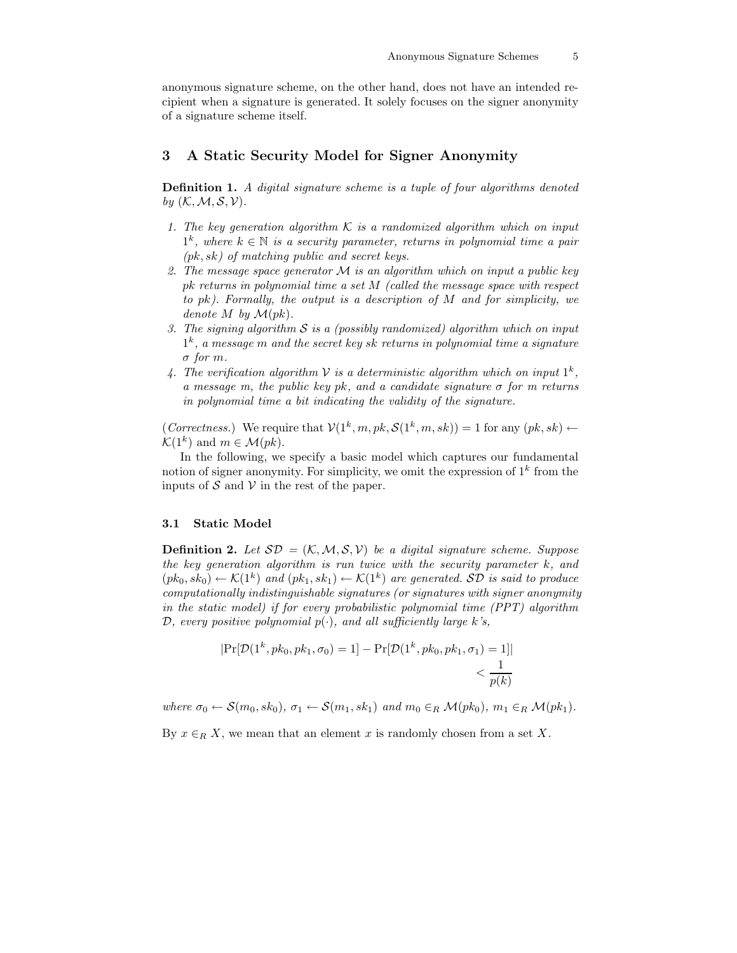anonymous signature scheme, on the other hand, does not have an intended recipient when a signature is generated. It solely focuses on the signer anonymity of a signature scheme itself.

# 3 A Static Security Model for Signer Anonymity

Definition 1. A digital signature scheme is a tuple of four algorithms denoted by  $(K, \mathcal{M}, \mathcal{S}, \mathcal{V}).$ 

- 1. The key generation algorithm  $K$  is a randomized algorithm which on input  $1^k$ , where  $k \in \mathbb{N}$  is a security parameter, returns in polynomial time a pair (pk, sk) of matching public and secret keys.
- 2. The message space generator  $\mathcal M$  is an algorithm which on input a public key pk returns in polynomial time a set M (called the message space with respect to pk). Formally, the output is a description of M and for simplicity, we denote M by  $\mathcal{M}(pk)$ .
- 3. The signing algorithm  $S$  is a (possibly randomized) algorithm which on input  $1^k$ , a message m and the secret key sk returns in polynomial time a signature  $\sigma$  for  $m$ .
- 4. The verification algorithm V is a deterministic algorithm which on input  $1^k$ . a message m, the public key pk, and a candidate signature  $\sigma$  for m returns in polynomial time a bit indicating the validity of the signature.

(Correctness.) We require that  $V(1^k, m, pk, \mathcal{S}(1^k, m, sk)) = 1$  for any  $(pk, sk) \leftarrow$  $\mathcal{K}(1^k)$  and  $m \in \mathcal{M}(pk)$ .

In the following, we specify a basic model which captures our fundamental notion of signer anonymity. For simplicity, we omit the expression of  $1^k$  from the inputs of  $\mathcal S$  and  $\mathcal V$  in the rest of the paper.

#### 3.1 Static Model

**Definition 2.** Let  $SD = (K, M, S, V)$  be a digital signature scheme. Suppose the key generation algorithm is run twice with the security parameter  $k$ , and  $(pk_0, sk_0) \leftarrow \mathcal{K}(1^k)$  and  $(pk_1, sk_1) \leftarrow \mathcal{K}(1^k)$  are generated. SD is said to produce computationally indistinguishable signatures (or signatures with signer anonymity in the static model) if for every probabilistic polynomial time (PPT) algorithm D, every positive polynomial  $p(\cdot)$ , and all sufficiently large k's,

$$
|\Pr[\mathcal{D}(1^k, pk_0, pk_1, \sigma_0) = 1] - \Pr[\mathcal{D}(1^k, pk_0, pk_1, \sigma_1) = 1]|
$$
  
<  $\frac{1}{p(k)}$ 

where  $\sigma_0 \leftarrow \mathcal{S}(m_0, sk_0), \sigma_1 \leftarrow \mathcal{S}(m_1, sk_1)$  and  $m_0 \in_R \mathcal{M}(pk_0), m_1 \in_R \mathcal{M}(pk_1)$ .

By  $x \in_R X$ , we mean that an element x is randomly chosen from a set X.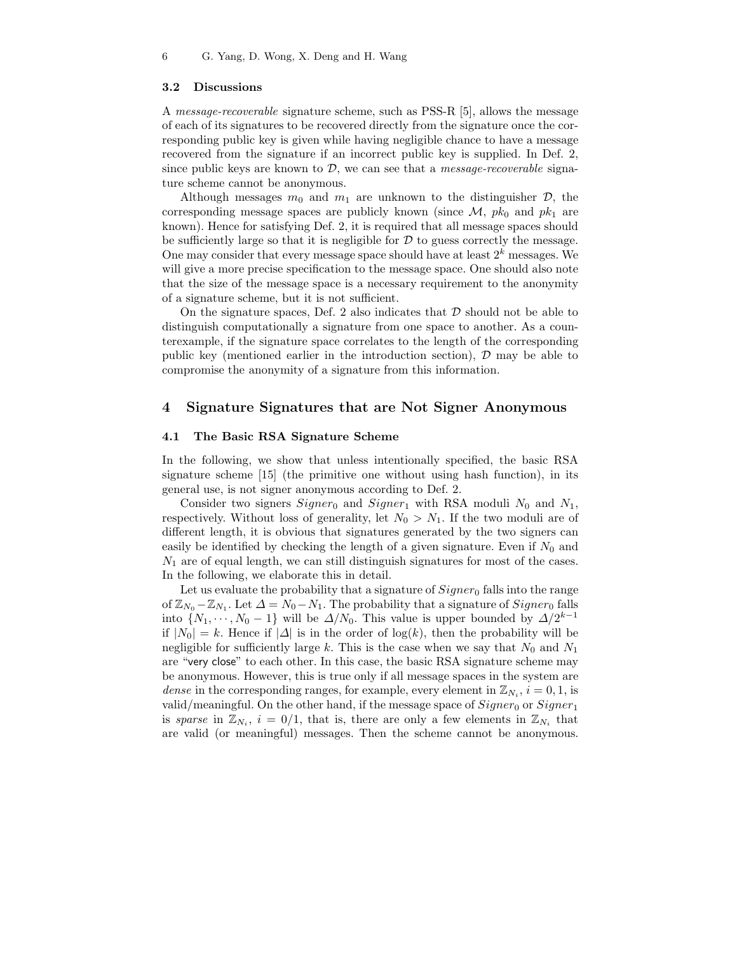#### 3.2 Discussions

A message-recoverable signature scheme, such as PSS-R [5], allows the message of each of its signatures to be recovered directly from the signature once the corresponding public key is given while having negligible chance to have a message recovered from the signature if an incorrect public key is supplied. In Def. 2, since public keys are known to  $\mathcal{D}$ , we can see that a *message-recoverable* signature scheme cannot be anonymous.

Although messages  $m_0$  and  $m_1$  are unknown to the distinguisher  $\mathcal{D}$ , the corresponding message spaces are publicly known (since  $\mathcal{M}, p k_0$  and  $p k_1$  are known). Hence for satisfying Def. 2, it is required that all message spaces should be sufficiently large so that it is negligible for  $D$  to guess correctly the message. One may consider that every message space should have at least  $2<sup>k</sup>$  messages. We will give a more precise specification to the message space. One should also note that the size of the message space is a necessary requirement to the anonymity of a signature scheme, but it is not sufficient.

On the signature spaces, Def. 2 also indicates that  $D$  should not be able to distinguish computationally a signature from one space to another. As a counterexample, if the signature space correlates to the length of the corresponding public key (mentioned earlier in the introduction section),  $\mathcal{D}$  may be able to compromise the anonymity of a signature from this information.

#### 4 Signature Signatures that are Not Signer Anonymous

#### 4.1 The Basic RSA Signature Scheme

In the following, we show that unless intentionally specified, the basic RSA signature scheme [15] (the primitive one without using hash function), in its general use, is not signer anonymous according to Def. 2.

Consider two signers  $Signer_0$  and  $Signer_1$  with RSA moduli  $N_0$  and  $N_1$ , respectively. Without loss of generality, let  $N_0 > N_1$ . If the two moduli are of different length, it is obvious that signatures generated by the two signers can easily be identified by checking the length of a given signature. Even if  $N_0$  and  $N_1$  are of equal length, we can still distinguish signatures for most of the cases. In the following, we elaborate this in detail.

Let us evaluate the probability that a signature of  $Signer_0$  falls into the range of  $\mathbb{Z}_{N_0} - \mathbb{Z}_{N_1}$ . Let  $\Delta = N_0 - N_1$ . The probability that a signature of  $Signer_0$  falls into  $\{N_1, \dots, N_0 - 1\}$  will be  $\Delta/N_0$ . This value is upper bounded by  $\Delta/2^{k-1}$ if  $|N_0| = k$ . Hence if  $|\Delta|$  is in the order of  $\log(k)$ , then the probability will be negligible for sufficiently large k. This is the case when we say that  $N_0$  and  $N_1$ are "very close" to each other. In this case, the basic RSA signature scheme may be anonymous. However, this is true only if all message spaces in the system are dense in the corresponding ranges, for example, every element in  $\mathbb{Z}_{N_i}$ ,  $i = 0, 1$ , is valid/meaningful. On the other hand, if the message space of  $Signer_0$  or  $Signer_1$ is sparse in  $\mathbb{Z}_{N_i}$ ,  $i = 0/1$ , that is, there are only a few elements in  $\mathbb{Z}_{N_i}$  that are valid (or meaningful) messages. Then the scheme cannot be anonymous.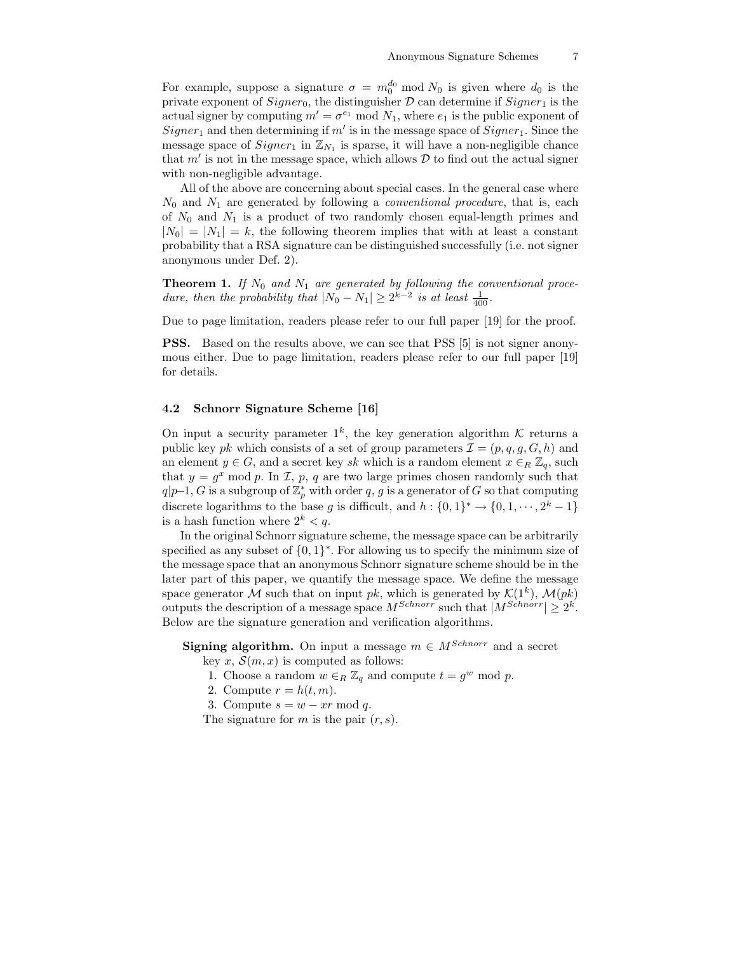For example, suppose a signature  $\sigma = m_0^{d_0} \mod N_0$  is given where  $d_0$  is the private exponent of  $Signer_0$ , the distinguisher  $D$  can determine if  $Signer_1$  is the actual signer by computing  $m' = \sigma^{e_1} \mod N_1$ , where  $e_1$  is the public exponent of Signer<sub>1</sub> and then determining if m' is in the message space of Signer<sub>1</sub>. Since the message space of  $Signer_1$  in  $\mathbb{Z}_{N_1}$  is sparse, it will have a non-negligible chance that  $m'$  is not in the message space, which allows  $D$  to find out the actual signer with non-negligible advantage.

All of the above are concerning about special cases. In the general case where  $N_0$  and  $N_1$  are generated by following a *conventional procedure*, that is, each of  $N_0$  and  $N_1$  is a product of two randomly chosen equal-length primes and  $|N_0| = |N_1| = k$ , the following theorem implies that with at least a constant probability that a RSA signature can be distinguished successfully (i.e. not signer anonymous under Def. 2).

**Theorem 1.** If  $N_0$  and  $N_1$  are generated by following the conventional procedure, then the probability that  $|N_0 - N_1| \geq 2^{k-2}$  is at least  $\frac{1}{400}$ .

Due to page limitation, readers please refer to our full paper [19] for the proof.

PSS. Based on the results above, we can see that PSS [5] is not signer anonymous either. Due to page limitation, readers please refer to our full paper [19] for details.

#### 4.2 Schnorr Signature Scheme [16]

On input a security parameter  $1^k$ , the key generation algorithm K returns a public key pk which consists of a set of group parameters  $\mathcal{I} = (p, q, g, G, h)$  and an element  $y \in G$ , and a secret key sk which is a random element  $x \in_R \mathbb{Z}_q$ , such that  $y = g^x \mod p$ . In *I*, *p*, *q* are two large primes chosen randomly such that  $q|p-1, G$  is a subgroup of  $\mathbb{Z}_p^*$  with order  $q, g$  is a generator of  $G$  so that computing discrete logarithms to the base g is difficult, and  $h: \{0,1\}^* \to \{0,1,\dots,2^k-1\}$ is a hash function where  $2^k < q$ .

In the original Schnorr signature scheme, the message space can be arbitrarily specified as any subset of  $\{0,1\}^*$ . For allowing us to specify the minimum size of the message space that an anonymous Schnorr signature scheme should be in the later part of this paper, we quantify the message space. We define the message space generator M such that on input pk, which is generated by  $\mathcal{K}(1^k)$ ,  $\mathcal{M}(pk)$ outputs the description of a message space  $M^{Schnorr}$  such that  $|M^{Schnorr}| \geq 2^k$ . Below are the signature generation and verification algorithms.

**Signing algorithm.** On input a message  $m \in M^{Scharr}$  and a secret

- key x,  $\mathcal{S}(m, x)$  is computed as follows:
- 1. Choose a random  $w \in_R \mathbb{Z}_q$  and compute  $t = g^w \mod p$ .
- 2. Compute  $r = h(t, m)$ .
- 3. Compute  $s = w xr \mod q$ .

The signature for  $m$  is the pair  $(r, s)$ .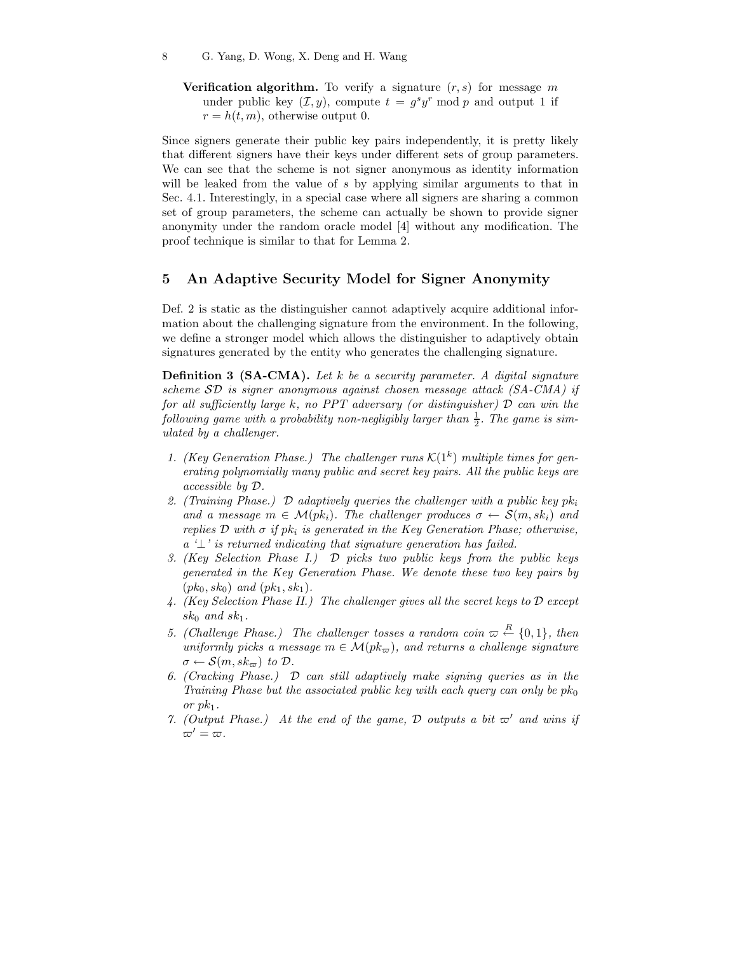**Verification algorithm.** To verify a signature  $(r, s)$  for message m under public key  $(\mathcal{I}, y)$ , compute  $t = g^{s}y^{r} \mod p$  and output 1 if  $r = h(t, m)$ , otherwise output 0.

Since signers generate their public key pairs independently, it is pretty likely that different signers have their keys under different sets of group parameters. We can see that the scheme is not signer anonymous as identity information will be leaked from the value of s by applying similar arguments to that in Sec. 4.1. Interestingly, in a special case where all signers are sharing a common set of group parameters, the scheme can actually be shown to provide signer anonymity under the random oracle model [4] without any modification. The proof technique is similar to that for Lemma 2.

## 5 An Adaptive Security Model for Signer Anonymity

Def. 2 is static as the distinguisher cannot adaptively acquire additional information about the challenging signature from the environment. In the following, we define a stronger model which allows the distinguisher to adaptively obtain signatures generated by the entity who generates the challenging signature.

**Definition 3 (SA-CMA).** Let  $k$  be a security parameter. A digital signature scheme  $SD$  is signer anonymous against chosen message attack  $(SA-CMA)$  if for all sufficiently large k, no PPT adversary (or distinguisher)  $D$  can win the following game with a probability non-negligibly larger than  $\frac{1}{2}$ . The game is simulated by a challenger.

- 1. (Key Generation Phase.) The challenger runs  $\mathcal{K}(1^k)$  multiple times for generating polynomially many public and secret key pairs. All the public keys are accessible by D.
- 2. (Training Phase.) D adaptively queries the challenger with a public key  $pk_i$ and a message  $m \in \mathcal{M}(pk_i)$ . The challenger produces  $\sigma \leftarrow \mathcal{S}(m, sk_i)$  and replies D with  $\sigma$  if pk<sub>i</sub> is generated in the Key Generation Phase; otherwise,  $a \perp$  is returned indicating that signature generation has failed.
- 3. (Key Selection Phase I.) D picks two public keys from the public keys generated in the Key Generation Phase. We denote these two key pairs by  $(pk_0, sk_0)$  and  $(pk_1, sk_1)$ .
- 4. (Key Selection Phase II.) The challenger gives all the secret keys to D except  $sk_0$  and  $sk_1$ .
- 5. (Challenge Phase.) The challenger tosses a random coin  $\varpi \stackrel{R}{\leftarrow} \{0,1\}$ , then uniformly picks a message  $m \in \mathcal{M}(pk_{\overline{\omega}})$ , and returns a challenge signature  $\sigma \leftarrow \mathcal{S}(m, sk_{\varpi})$  to  $\mathcal{D}$ .
- 6. (Cracking Phase.) D can still adaptively make signing queries as in the Training Phase but the associated public key with each query can only be  $pk<sub>0</sub>$ or  $pk_1$ .
- 7. (Output Phase.) At the end of the game, D outputs a bit  $\varpi'$  and wins if  $\varpi' = \varpi$ .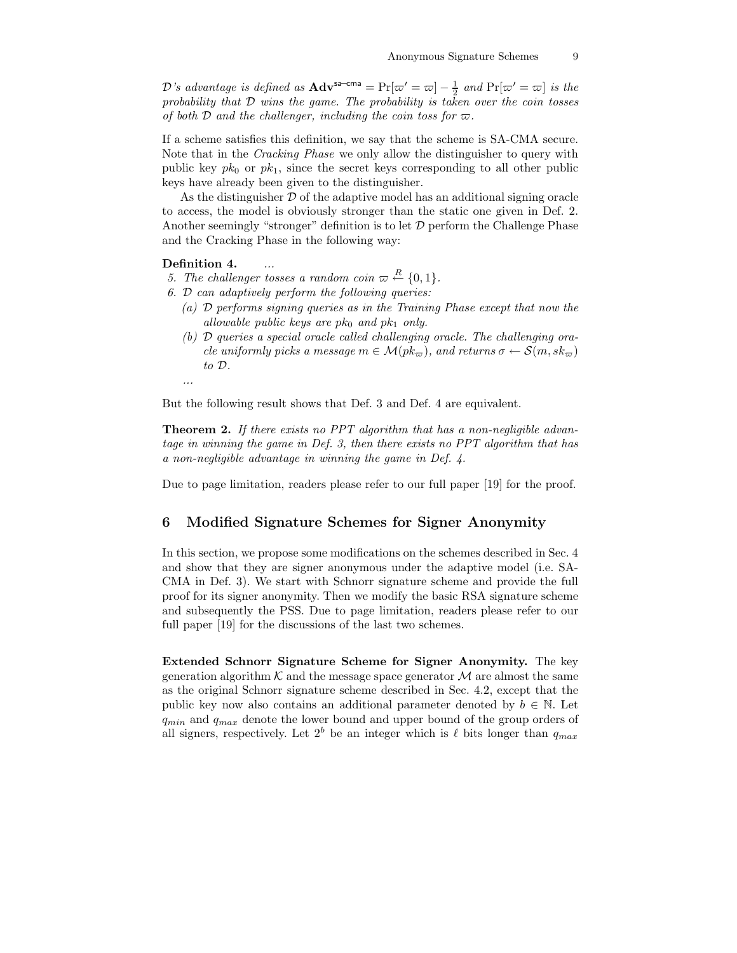D's advantage is defined as  $\text{Adv}^{\text{sa-cma}} = \Pr[\varpi' = \varpi] - \frac{1}{2}$  and  $\Pr[\varpi' = \varpi]$  is the probability that  $D$  wins the game. The probability is taken over the coin tosses of both  $\mathcal D$  and the challenger, including the coin toss for  $\varpi$ .

If a scheme satisfies this definition, we say that the scheme is SA-CMA secure. Note that in the Cracking Phase we only allow the distinguisher to query with public key  $pk_0$  or  $pk_1$ , since the secret keys corresponding to all other public keys have already been given to the distinguisher.

As the distinguisher  $\mathcal D$  of the adaptive model has an additional signing oracle to access, the model is obviously stronger than the static one given in Def. 2. Another seemingly "stronger" definition is to let  $\mathcal D$  perform the Challenge Phase and the Cracking Phase in the following way:

### Definition 4. ...

- 5. The challenger tosses a random coin  $\varpi \stackrel{R}{\leftarrow} \{0,1\}.$
- 6. D can adaptively perform the following queries:
	- (a) D performs signing queries as in the Training Phase except that now the allowable public keys are  $pk_0$  and  $pk_1$  only.
	- (b) D queries a special oracle called challenging oracle. The challenging oracle uniformly picks a message  $m \in \mathcal{M}(pk_{\varpi})$ , and returns  $\sigma \leftarrow \mathcal{S}(m, sk_{\varpi})$ to D.

...

But the following result shows that Def. 3 and Def. 4 are equivalent.

Theorem 2. If there exists no PPT algorithm that has a non-negligible advantage in winning the game in Def. 3, then there exists no PPT algorithm that has a non-negligible advantage in winning the game in Def. 4.

Due to page limitation, readers please refer to our full paper [19] for the proof.

## 6 Modified Signature Schemes for Signer Anonymity

In this section, we propose some modifications on the schemes described in Sec. 4 and show that they are signer anonymous under the adaptive model (i.e. SA-CMA in Def. 3). We start with Schnorr signature scheme and provide the full proof for its signer anonymity. Then we modify the basic RSA signature scheme and subsequently the PSS. Due to page limitation, readers please refer to our full paper [19] for the discussions of the last two schemes.

Extended Schnorr Signature Scheme for Signer Anonymity. The key generation algorithm  $\mathcal K$  and the message space generator  $\mathcal M$  are almost the same as the original Schnorr signature scheme described in Sec. 4.2, except that the public key now also contains an additional parameter denoted by  $b \in \mathbb{N}$ . Let  $q_{min}$  and  $q_{max}$  denote the lower bound and upper bound of the group orders of all signers, respectively. Let  $2^b$  be an integer which is  $\ell$  bits longer than  $q_{max}$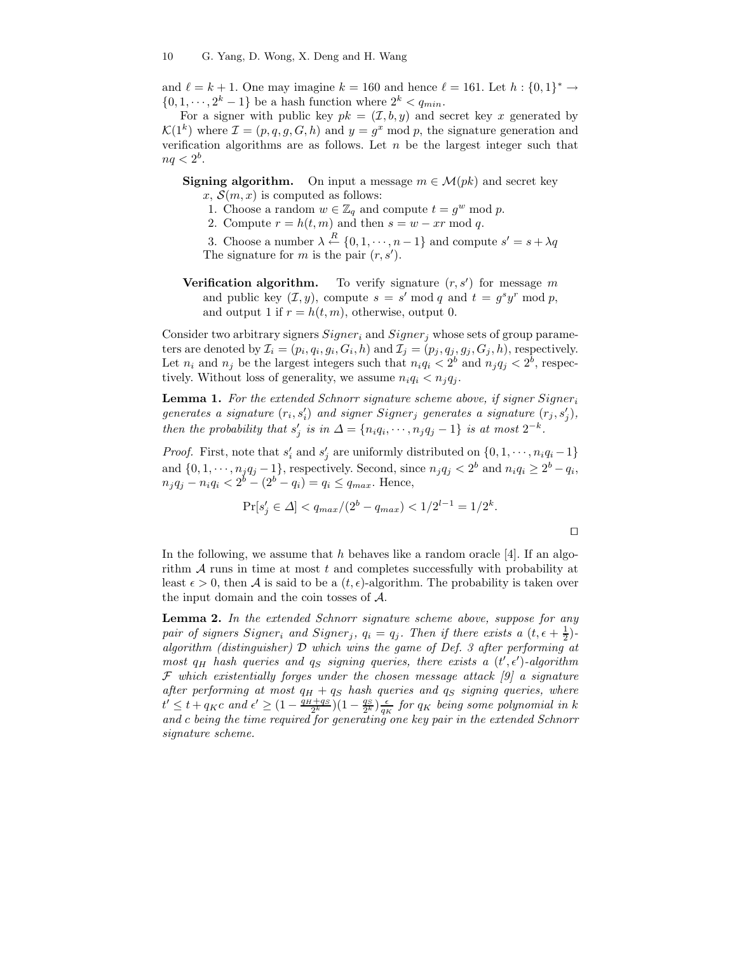and  $\ell = k + 1$ . One may imagine  $k = 160$  and hence  $\ell = 161$ . Let  $h : \{0, 1\}^* \to$  $\{0, 1, \dots, 2^k - 1\}$  be a hash function where  $2^k < q_{min}$ .

For a signer with public key  $pk = (\mathcal{I}, b, y)$  and secret key x generated by  $\mathcal{K}(1^k)$  where  $\mathcal{I} = (p, q, g, G, h)$  and  $y = g^x \mod p$ , the signature generation and verification algorithms are as follows. Let  $n$  be the largest integer such that  $nq < 2^b$ .

**Signing algorithm.** On input a message  $m \in \mathcal{M}(pk)$  and secret key x,  $\mathcal{S}(m, x)$  is computed as follows:

- 1. Choose a random  $w \in \mathbb{Z}_q$  and compute  $t = g^w \mod p$ .
- 2. Compute  $r = h(t, m)$  and then  $s = w xr \mod q$ .
- 3. Choose a number  $\lambda \stackrel{R}{\leftarrow} \{0, 1, \dots, n-1\}$  and compute  $s' = s + \lambda q$ The signature for m is the pair  $(r, s')$ .
- Verification algorithm. To verify signature  $(r, s')$  for message m and public key  $(\mathcal{I}, y)$ , compute  $s = s' \mod q$  and  $t = g^s y^r \mod p$ , and output 1 if  $r = h(t, m)$ , otherwise, output 0.

Consider two arbitrary signers  $Signer_i$  and  $Signer_j$  whose sets of group parameters are denoted by  $\mathcal{I}_i = (p_i, q_i, G_i, h)$  and  $\mathcal{I}_j = (p_j, q_j, G_j, h)$ , respectively. Let  $n_i$  and  $n_j$  be the largest integers such that  $n_i q_i < 2^b$  and  $n_j q_j < 2^b$ , respectively. Without loss of generality, we assume  $n_iq_i < n_iq_j$ .

**Lemma 1.** For the extended Schnorr signature scheme above, if signer Signer<sub>i</sub> generates a signature  $(r_i, s'_i)$  and signer  $Signer_j$  generates a signature  $(r_j, s'_j)$ , then the probability that  $s'_j$  is in  $\Delta = \{n_i q_i, \dots, n_j q_j - 1\}$  is at most  $2^{-k}$ .

*Proof.* First, note that  $s'_i$  and  $s'_j$  are uniformly distributed on  $\{0, 1, \dots, n_i q_i - 1\}$ and  $\{0, 1, \dots, n_j q_j - 1\}$ , respectively. Second, since  $n_j q_j < 2^b$  and  $n_i q_i \geq 2^b - q_i$ ,  $n_j q_j - n_i q_i < 2^b - (2^b - q_i) = q_i \le q_{max}$ . Hence,

$$
Pr[s'_j \in \Delta] < q_{max}/(2^b - q_{max}) < 1/2^{l-1} = 1/2^k.
$$

 $\Box$ 

In the following, we assume that  $h$  behaves like a random oracle [4]. If an algorithm  $\mathcal A$  runs in time at most  $t$  and completes successfully with probability at least  $\epsilon > 0$ , then A is said to be a  $(t, \epsilon)$ -algorithm. The probability is taken over the input domain and the coin tosses of A.

Lemma 2. In the extended Schnorr signature scheme above, suppose for any pair of signers Signer<sub>i</sub> and Signer<sub>j</sub>,  $q_i = q_j$ . Then if there exists a  $(t, \epsilon + \frac{1}{2})$ algorithm (distinguisher) D which wins the game of Def. 3 after performing at most  $q_H$  hash queries and  $q_S$  signing queries, there exists a  $(t', \epsilon')$ -algorithm  $\mathcal F$  which existentially forges under the chosen message attack [9] a signature after performing at most  $q_H + q_S$  hash queries and  $q_S$  signing queries, where  $t' \leq t + q_K c$  and  $\epsilon' \geq (1 - \frac{q_H + q_S}{2^k})(1 - \frac{q_S}{2^k})\frac{\epsilon}{q_K}$  for  $q_K$  being some polynomial in k and c being the time required for generating one key pair in the extended Schnorr signature scheme.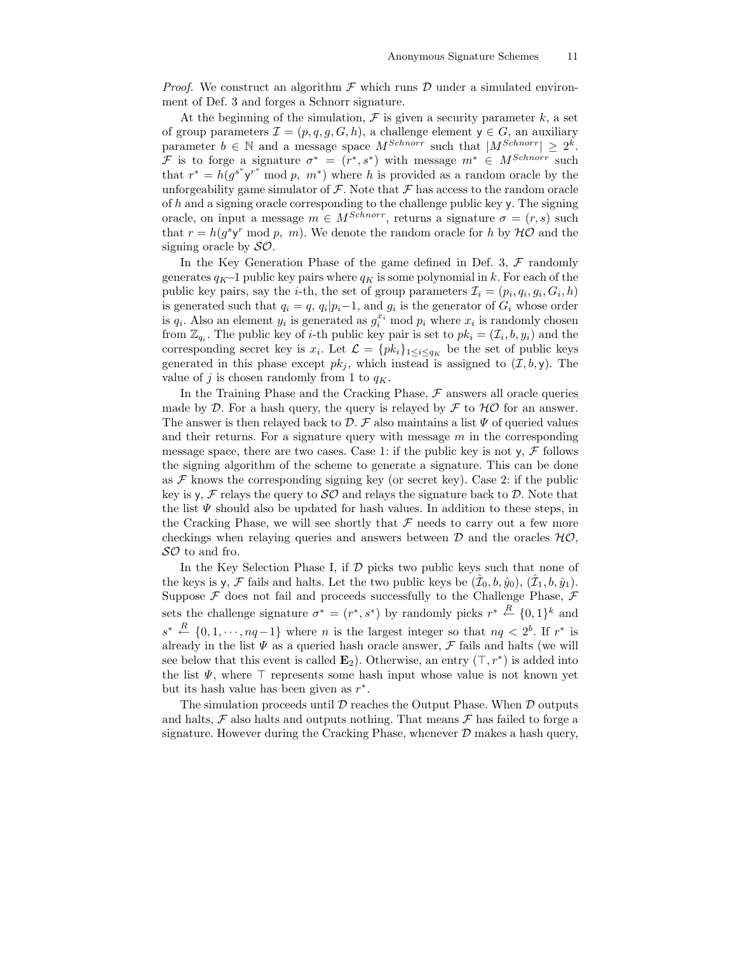*Proof.* We construct an algorithm  $\mathcal F$  which runs  $\mathcal D$  under a simulated environment of Def. 3 and forges a Schnorr signature.

At the beginning of the simulation,  $\mathcal F$  is given a security parameter k, a set of group parameters  $\mathcal{I} = (p, q, g, G, h)$ , a challenge element  $y \in G$ , an auxiliary parameter  $b \in \mathbb{N}$  and a message space  $M^{Schnorr}$  such that  $|M^{Schnorr}| \geq 2^k$ . F is to forge a signature  $\sigma^* = (r^*, s^*)$  with message  $m^* \in M^{Schnorr}$  such that  $r^* = h(g^{s^*}y^{r^*} \mod p, m^*)$  where h is provided as a random oracle by the unforgeability game simulator of  $\mathcal F$ . Note that  $\mathcal F$  has access to the random oracle of  $h$  and a signing oracle corresponding to the challenge public key  $y$ . The signing oracle, on input a message  $m \in M^{Schnorr}$ , returns a signature  $\sigma = (r, s)$  such that  $r = h(q^s y^r \mod p, m)$ . We denote the random oracle for h by  $H\mathcal{O}$  and the signing oracle by  $\mathcal{SO}$ .

In the Key Generation Phase of the game defined in Def. 3,  $\mathcal F$  randomly generates  $q_K$ -1 public key pairs where  $q_K$  is some polynomial in k. For each of the public key pairs, say the *i*-th, the set of group parameters  $\mathcal{I}_i = (p_i, q_i, q_i, G_i, h)$ is generated such that  $q_i = q$ ,  $q_i|p_i-1$ , and  $q_i$  is the generator of  $G_i$  whose order is  $q_i$ . Also an element  $y_i$  is generated as  $g_i^{x_i}$  mod  $p_i$  where  $x_i$  is randomly chosen from  $\mathbb{Z}_{q_i}$ . The public key of *i*-th public key pair is set to  $pk_i = (\mathcal{I}_i, b, y_i)$  and the corresponding secret key is  $x_i$ . Let  $\mathcal{L} = \{pk_i\}_{1 \leq i \leq q_K}$  be the set of public keys generated in this phase except  $pk_j$ , which instead is assigned to  $(\mathcal{I}, b, y)$ . The value of j is chosen randomly from 1 to  $q_K$ .

In the Training Phase and the Cracking Phase,  $\mathcal F$  answers all oracle queries made by  $D$ . For a hash query, the query is relayed by  $\mathcal F$  to  $\mathcal{HO}$  for an answer. The answer is then relayed back to  $\mathcal{D}$ . F also maintains a list  $\Psi$  of queried values and their returns. For a signature query with message  $m$  in the corresponding message space, there are two cases. Case 1: if the public key is not  $\gamma$ ,  $\mathcal F$  follows the signing algorithm of the scheme to generate a signature. This can be done as  $\mathcal F$  knows the corresponding signing key (or secret key). Case 2: if the public key is y, F relays the query to  $\mathcal{SO}$  and relays the signature back to D. Note that the list  $\Psi$  should also be updated for hash values. In addition to these steps, in the Cracking Phase, we will see shortly that  $\mathcal F$  needs to carry out a few more checkings when relaying queries and answers between  $D$  and the oracles  $H\mathcal{O}$ , SO to and fro.

In the Key Selection Phase I, if  $D$  picks two public keys such that none of the keys is y, F fails and halts. Let the two public keys be  $(\mathcal{I}_0, b, \hat{y}_0), (\mathcal{I}_1, b, \hat{y}_1)$ . Suppose  $\mathcal F$  does not fail and proceeds successfully to the Challenge Phase,  $\mathcal F$ sets the challenge signature  $\sigma^* = (r^*, s^*)$  by randomly picks  $r^* \stackrel{R}{\leftarrow} \{0,1\}^k$  and  $s^* \stackrel{R}{\leftarrow} \{0, 1, \cdots, nq-1\}$  where n is the largest integer so that  $nq < 2^b$ . If  $r^*$  is already in the list  $\Psi$  as a queried hash oracle answer,  $\mathcal F$  fails and halts (we will see below that this event is called  $\mathbf{E}_2$ ). Otherwise, an entry  $(\top, r^*)$  is added into the list  $\Psi$ , where  $\top$  represents some hash input whose value is not known yet but its hash value has been given as  $r^*$ .

The simulation proceeds until  $\mathcal D$  reaches the Output Phase. When  $\mathcal D$  outputs and halts,  $\mathcal F$  also halts and outputs nothing. That means  $\mathcal F$  has failed to forge a signature. However during the Cracking Phase, whenever  $\mathcal D$  makes a hash query,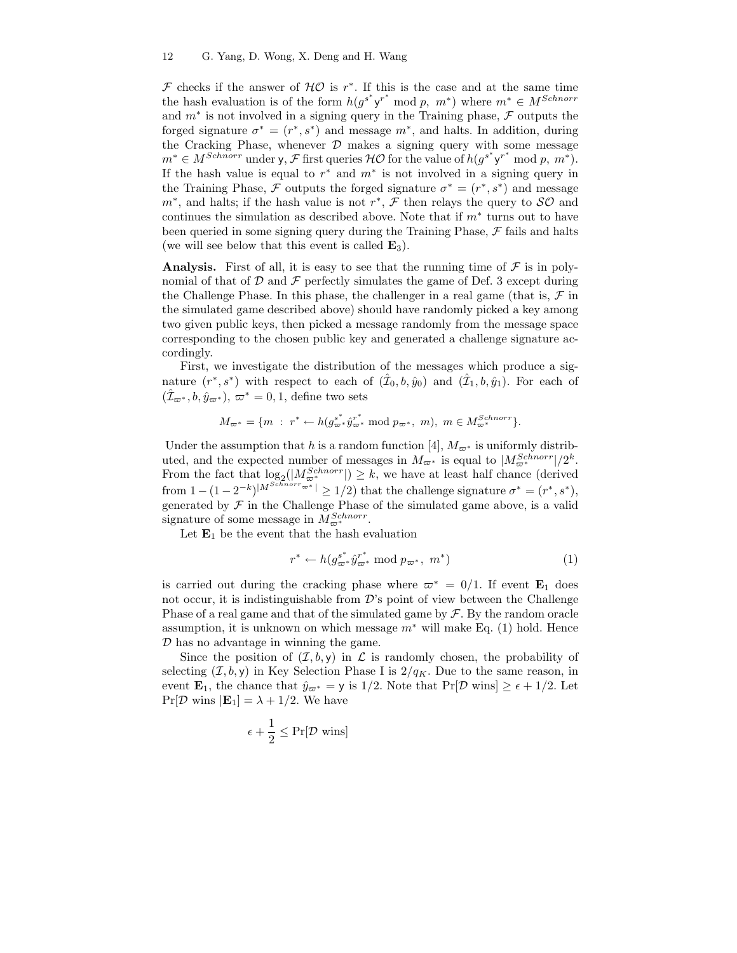F checks if the answer of  $H\mathcal{O}$  is r<sup>\*</sup>. If this is the case and at the same time the hash evaluation is of the form  $h(g^{s^*}y^{r^*} \mod p, m^*)$  where  $m^* \in M^{Schnorr}$ and  $m^*$  is not involved in a signing query in the Training phase,  $\mathcal F$  outputs the forged signature  $\sigma^* = (r^*, s^*)$  and message  $m^*$ , and halts. In addition, during the Cracking Phase, whenever  $D$  makes a signing query with some message  $m^* \in M^{Schnorr}$  under y,  $\mathcal F$  first queries  $\mathcal HO$  for the value of  $h(g^{s^*}y^{r^*} \mod p, m^*).$ If the hash value is equal to  $r^*$  and  $m^*$  is not involved in a signing query in the Training Phase, F outputs the forged signature  $\sigma^* = (r^*, s^*)$  and message  $m<sup>*</sup>$ , and halts; if the hash value is not  $r<sup>*</sup>$ ,  $\mathcal F$  then relays the query to  $\mathcal{SO}$  and continues the simulation as described above. Note that if  $m^*$  turns out to have been queried in some signing query during the Training Phase,  $\mathcal F$  fails and halts (we will see below that this event is called  $\mathbf{E}_3$ ).

Analysis. First of all, it is easy to see that the running time of  $\mathcal F$  is in polynomial of that of  $D$  and  $\mathcal F$  perfectly simulates the game of Def. 3 except during the Challenge Phase. In this phase, the challenger in a real game (that is,  $\mathcal F$  in the simulated game described above) should have randomly picked a key among two given public keys, then picked a message randomly from the message space corresponding to the chosen public key and generated a challenge signature accordingly.

First, we investigate the distribution of the messages which produce a signature  $(r^*, s^*)$  with respect to each of  $(\mathcal{I}_0, b, \hat{y}_0)$  and  $(\mathcal{I}_1, b, \hat{y}_1)$ . For each of  $(\hat{\mathcal{I}}_{\varpi^*}, b, \hat{y}_{\varpi^*}), \varpi^* = 0, 1$ , define two sets

$$
M_{\varpi^*} = \{ m : r^* \leftarrow h(g_{\varpi^*}^{s^*} \hat{y}_{\varpi^*}^{r^*} \bmod p_{\varpi^*}, m), m \in M_{\varpi^*}^{Schnorr} \}.
$$

Under the assumption that h is a random function [4],  $M_{\varpi^*}$  is uniformly distributed, and the expected number of messages in  $M_{\varpi^*}$  is equal to  $|M_{\varpi^*}^{Schnorr}|/2^k$ . From the fact that  $\log_2(|M_{\varpi^*}^{Schnorr}|) \geq k$ , we have at least half chance (derived from  $1 - (1 - 2^{-k})^{|M^{Schnorr} \varpi^*|} \ge 1/2$ ) that the challenge signature  $\sigma^* = (r^*, s^*),$ generated by  $\mathcal F$  in the Challenge Phase of the simulated game above, is a valid signature of some message in  $M_{\varpi^*}^{Schnorr}$ .

Let  $E_1$  be the event that the hash evaluation

$$
r^* \leftarrow h(g_{\varpi^*}^{s^*} \hat{y}_{\varpi^*}^{r^*} \bmod p_{\varpi^*}, \; m^*)
$$
 (1)

is carried out during the cracking phase where  $\varpi^* = 0/1$ . If event **E**<sub>1</sub> does not occur, it is indistinguishable from  $\mathcal{D}$ 's point of view between the Challenge Phase of a real game and that of the simulated game by  $\mathcal{F}$ . By the random oracle assumption, it is unknown on which message  $m^*$  will make Eq. (1) hold. Hence D has no advantage in winning the game.

Since the position of  $(\mathcal{I}, b, \mathsf{y})$  in  $\mathcal L$  is randomly chosen, the probability of selecting  $(\mathcal{I}, b, \mathsf{y})$  in Key Selection Phase I is  $2/q_K$ . Due to the same reason, in event  $\mathbf{E}_1$ , the chance that  $\hat{y}_{\varpi^*} = y$  is 1/2. Note that  $Pr[\mathcal{D} \text{ wins}] \ge \epsilon + 1/2$ . Let  $Pr[\mathcal{D}$  wins  $|\mathbf{E}_1] = \lambda + 1/2$ . We have

$$
\epsilon + \frac{1}{2} \leq \Pr[\mathcal{D} \text{ wins}]
$$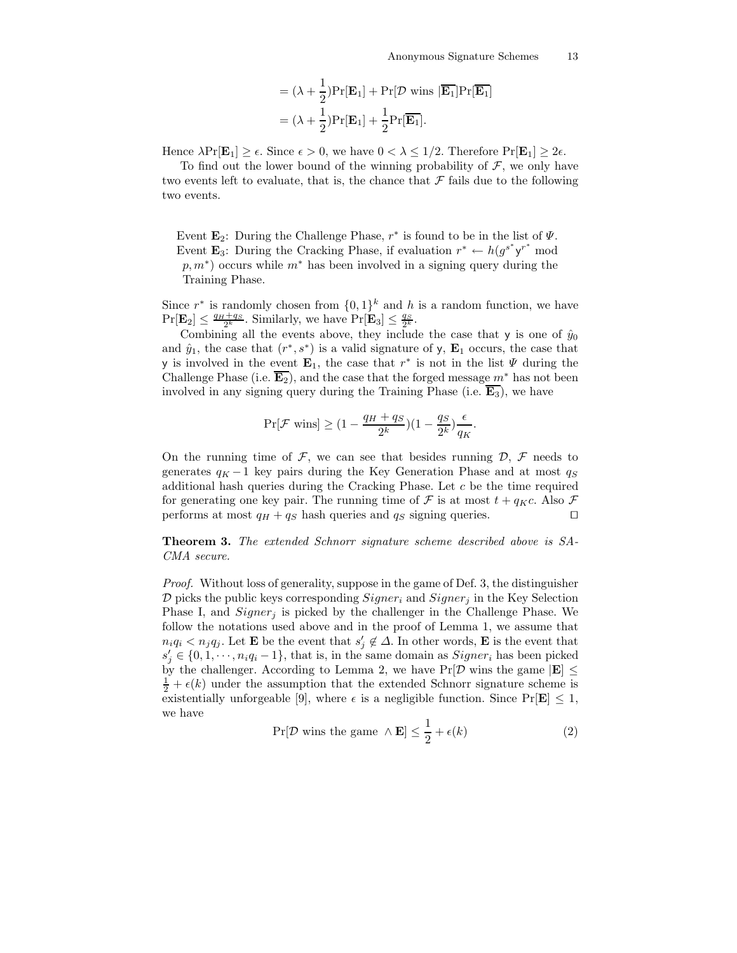$$
= (\lambda + \frac{1}{2})Pr[\mathbf{E}_1] + Pr[\mathcal{D} \text{ wins } |\overline{\mathbf{E}_1}] Pr[\overline{\mathbf{E}_1}]
$$

$$
= (\lambda + \frac{1}{2})Pr[\mathbf{E}_1] + \frac{1}{2}Pr[\overline{\mathbf{E}_1}].
$$

Hence  $\lambda \Pr[\mathbf{E}_1] \geq \epsilon$ . Since  $\epsilon > 0$ , we have  $0 < \lambda \leq 1/2$ . Therefore  $\Pr[\mathbf{E}_1] \geq 2\epsilon$ .

To find out the lower bound of the winning probability of  $F$ , we only have two events left to evaluate, that is, the chance that  $\mathcal F$  fails due to the following two events.

Event  $\mathbf{E}_2$ : During the Challenge Phase,  $r^*$  is found to be in the list of  $\Psi$ . Event E<sub>3</sub>: During the Cracking Phase, if evaluation  $r^* \leftarrow h(g^{s^*}y^{r^*} \mod$  $p, m<sup>*</sup>$ ) occurs while  $m<sup>*</sup>$  has been involved in a signing query during the Training Phase.

Since  $r^*$  is randomly chosen from  $\{0,1\}^k$  and h is a random function, we have  $Pr[\mathbf{E}_2] \leq \frac{q_H + q_S}{2^k}$ . Similarly, we have  $Pr[\mathbf{E}_3] \leq \frac{q_S}{2^k}$ .

Combining all the events above, they include the case that y is one of  $\hat{y}_0$ and  $\hat{y}_1$ , the case that  $(r^*, s^*)$  is a valid signature of y,  $\mathbf{E}_1$  occurs, the case that y is involved in the event  $\mathbf{E}_1$ , the case that  $r^*$  is not in the list  $\Psi$  during the Challenge Phase (i.e.  $E_2$ ), and the case that the forged message  $m^*$  has not been involved in any signing query during the Training Phase (i.e.  $\overline{E_3}$ ), we have

$$
\Pr[\mathcal{F} \text{ wins}] \ge (1 - \frac{q_H + q_S}{2^k})(1 - \frac{q_S}{2^k})\frac{\epsilon}{q_K}.
$$

On the running time of  $\mathcal{F}$ , we can see that besides running  $\mathcal{D}$ ,  $\mathcal{F}$  needs to generates  $q_K - 1$  key pairs during the Key Generation Phase and at most  $q_S$ additional hash queries during the Cracking Phase. Let  $c$  be the time required for generating one key pair. The running time of  $\mathcal F$  is at most  $t + q_Kc$ . Also  $\mathcal F$  performs at most  $q_H + q_S$  hash queries and  $q_S$  signing queries. performs at most  $q_H + q_S$  hash queries and  $q_S$  signing queries.

Theorem 3. The extended Schnorr signature scheme described above is SA-CMA secure.

Proof. Without loss of generality, suppose in the game of Def. 3, the distinguisher  $\mathcal D$  picks the public keys corresponding  $Signer_i$  and  $Signer_j$  in the Key Selection Phase I, and  $Signer_j$  is picked by the challenger in the Challenge Phase. We follow the notations used above and in the proof of Lemma 1, we assume that  $n_i q_i < n_j q_j$ . Let **E** be the event that  $s'_j \notin \Delta$ . In other words, **E** is the event that  $s'_{j} \in \{0, 1, \dots, n_{i}q_{i}-1\},\$  that is, in the same domain as  $Signer_{i}$  has been picked by the challenger. According to Lemma 2, we have  $Pr[\mathcal{D}]$  wins the game  $|E| \leq$  $\frac{1}{2} + \epsilon(k)$  under the assumption that the extended Schnorr signature scheme is existentially unforgeable [9], where  $\epsilon$  is a negligible function. Since  $Pr[\mathbf{E}] \leq 1$ , we have

$$
\Pr[\mathcal{D} \text{ wins the game } \wedge \mathbf{E}] \le \frac{1}{2} + \epsilon(k) \tag{2}
$$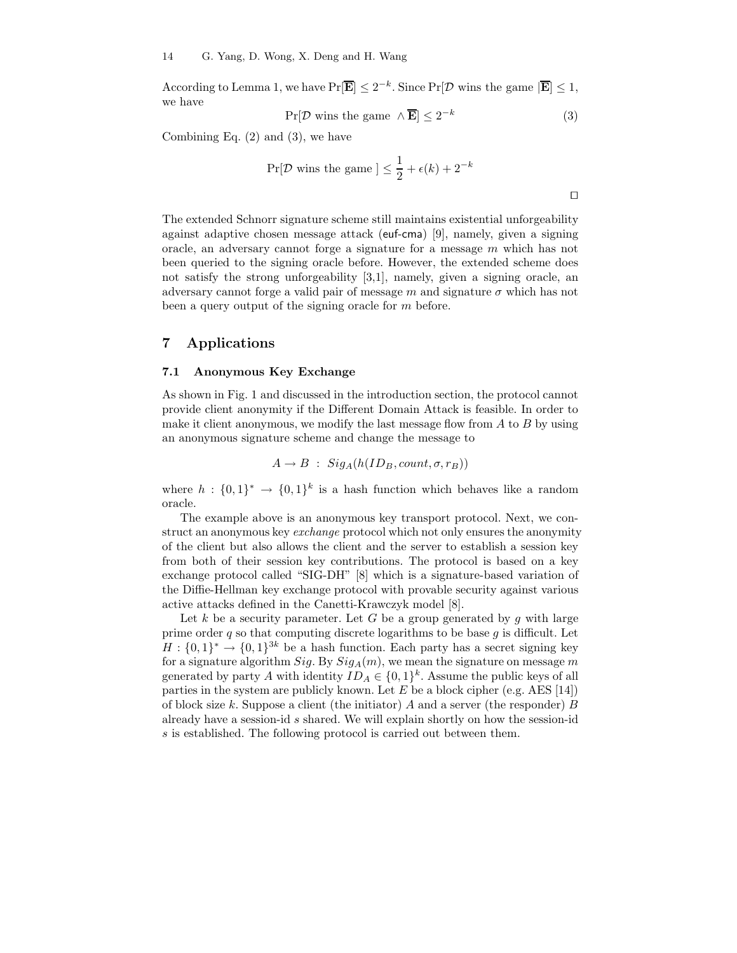According to Lemma 1, we have  $Pr[\mathbf{\overline{E}}] \leq 2^{-k}$ . Since  $Pr[\mathcal{D}$  wins the game  $|\mathbf{\overline{E}}| \leq 1$ , we have

$$
\Pr[\mathcal{D} \text{ wins the game } \wedge \overline{\mathbf{E}}] \le 2^{-k} \tag{3}
$$

Combining Eq.  $(2)$  and  $(3)$ , we have

$$
\Pr[\mathcal{D} \text{ wins the game }] \le \frac{1}{2} + \epsilon(k) + 2^{-k}
$$

The extended Schnorr signature scheme still maintains existential unforgeability against adaptive chosen message attack (euf-cma) [9], namely, given a signing oracle, an adversary cannot forge a signature for a message  $m$  which has not been queried to the signing oracle before. However, the extended scheme does not satisfy the strong unforgeability [3,1], namely, given a signing oracle, an adversary cannot forge a valid pair of message m and signature  $\sigma$  which has not been a query output of the signing oracle for m before.

### 7 Applications

### 7.1 Anonymous Key Exchange

As shown in Fig. 1 and discussed in the introduction section, the protocol cannot provide client anonymity if the Different Domain Attack is feasible. In order to make it client anonymous, we modify the last message flow from  $A$  to  $B$  by using an anonymous signature scheme and change the message to

$$
A \rightarrow B \; : \; Sig_A(h(ID_B, count, \sigma, r_B))
$$

where  $h : \{0,1\}^* \to \{0,1\}^k$  is a hash function which behaves like a random oracle.

The example above is an anonymous key transport protocol. Next, we construct an anonymous key *exchange* protocol which not only ensures the anonymity of the client but also allows the client and the server to establish a session key from both of their session key contributions. The protocol is based on a key exchange protocol called "SIG-DH" [8] which is a signature-based variation of the Diffie-Hellman key exchange protocol with provable security against various active attacks defined in the Canetti-Krawczyk model [8].

Let k be a security parameter. Let G be a group generated by g with large prime order q so that computing discrete logarithms to be base q is difficult. Let  $H: \{0,1\}^* \to \{0,1\}^{3k}$  be a hash function. Each party has a secret signing key for a signature algorithm  $Sig$ . By  $Sig_A(m)$ , we mean the signature on message m generated by party A with identity  $ID_A \in \{0,1\}^k$ . Assume the public keys of all parties in the system are publicly known. Let  $E$  be a block cipher (e.g. AES [14]) of block size k. Suppose a client (the initiator) A and a server (the responder) B already have a session-id s shared. We will explain shortly on how the session-id s is established. The following protocol is carried out between them.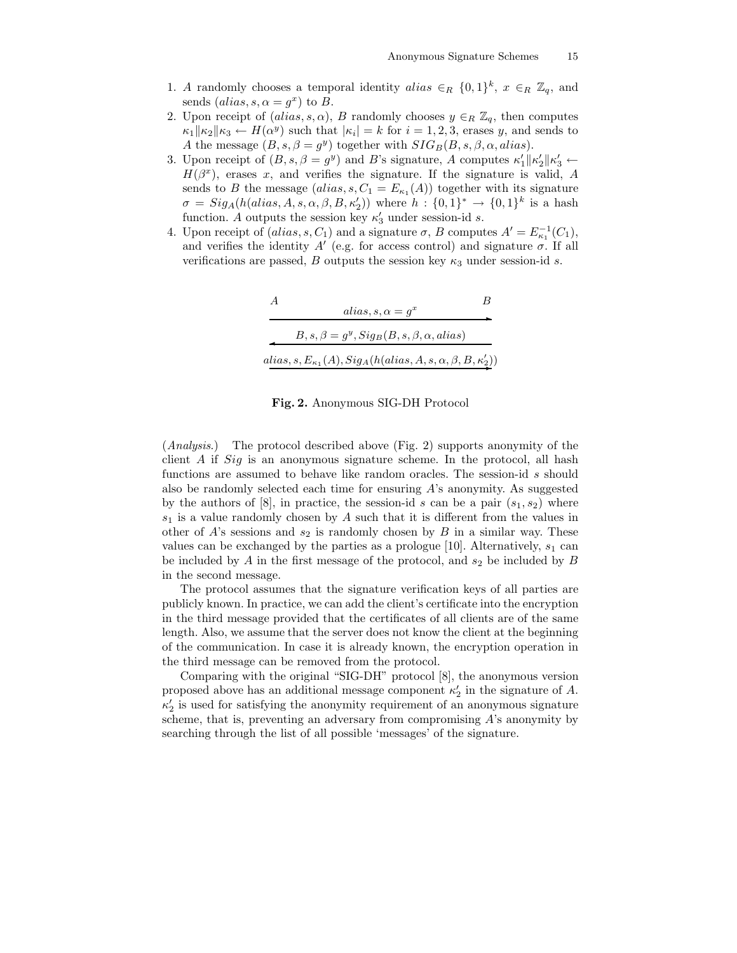- 1. A randomly chooses a temporal identity  $alias \in_R \{0,1\}^k$ ,  $x \in_R \mathbb{Z}_q$ , and sends  $(alias, s, \alpha = g^x)$  to B.
- 2. Upon receipt of  $(alias, s, \alpha)$ , B randomly chooses  $y \in_R \mathbb{Z}_q$ , then computes  $\kappa_1\|\kappa_2\|\kappa_3\leftarrow H(\alpha^y)$  such that  $|\kappa_i|=k$  for  $i=1,2,3$ , erases y, and sends to A the message  $(B, s, \beta = g^y)$  together with  $SIG_B(B, s, \beta, \alpha, alias)$ .
- 3. Upon receipt of  $(B, s, \beta = g^y)$  and B's signature, A computes  $\kappa'_1 || \kappa'_2 || \kappa'_3 \leftarrow$  $H(\beta^x)$ , erases x, and verifies the signature. If the signature is valid, A sends to B the message (alias,  $s, C_1 = E_{\kappa_1}(A)$ ) together with its signature  $\sigma = Sig_A(h(alias, A, s, \alpha, \beta, B, \kappa_2'))$  where  $h : \{0,1\}^* \to \{0,1\}^k$  is a hash function. A outputs the session key  $\kappa'_3$  under session-id s.
- 4. Upon receipt of  $(alias, s, C_1)$  and a signature  $\sigma$ , B computes  $A' = E_{\kappa_1}^{-1}(C_1)$ , and verifies the identity  $A'$  (e.g. for access control) and signature  $\sigma$ . If all verifications are passed, B outputs the session key  $\kappa_3$  under session-id s.

| $alias, s, \alpha = q^x$                                                        |  |
|---------------------------------------------------------------------------------|--|
| $B, s, \beta = g^y, Sig_B(B, s, \beta, \alpha, alias)$                          |  |
| alias, $s, E_{\kappa_1}(A), Sig_A(h(alias, A, s, \alpha, \beta, B, \kappa'_2))$ |  |

Fig. 2. Anonymous SIG-DH Protocol

(Analysis.) The protocol described above (Fig. 2) supports anonymity of the client A if  $Sig$  is an anonymous signature scheme. In the protocol, all hash functions are assumed to behave like random oracles. The session-id s should also be randomly selected each time for ensuring  $A$ 's anonymity. As suggested by the authors of [8], in practice, the session-id s can be a pair  $(s_1, s_2)$  where  $s_1$  is a value randomly chosen by A such that it is different from the values in other of  $A$ 's sessions and  $s_2$  is randomly chosen by  $B$  in a similar way. These values can be exchanged by the parties as a prologue [10]. Alternatively,  $s_1$  can be included by  $A$  in the first message of the protocol, and  $s_2$  be included by  $B$ in the second message.

The protocol assumes that the signature verification keys of all parties are publicly known. In practice, we can add the client's certificate into the encryption in the third message provided that the certificates of all clients are of the same length. Also, we assume that the server does not know the client at the beginning of the communication. In case it is already known, the encryption operation in the third message can be removed from the protocol.

Comparing with the original "SIG-DH" protocol [8], the anonymous version proposed above has an additional message component  $\kappa_2'$  in the signature of A.  $\kappa'_2$  is used for satisfying the anonymity requirement of an anonymous signature scheme, that is, preventing an adversary from compromising  $A$ 's anonymity by searching through the list of all possible 'messages' of the signature.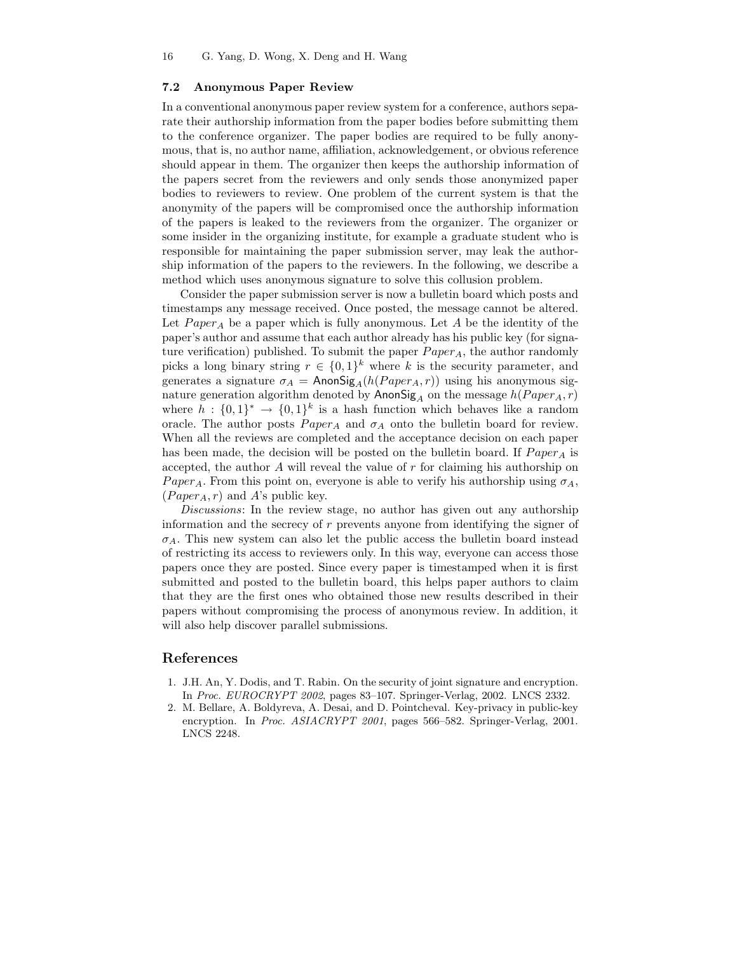#### 7.2 Anonymous Paper Review

In a conventional anonymous paper review system for a conference, authors separate their authorship information from the paper bodies before submitting them to the conference organizer. The paper bodies are required to be fully anonymous, that is, no author name, affiliation, acknowledgement, or obvious reference should appear in them. The organizer then keeps the authorship information of the papers secret from the reviewers and only sends those anonymized paper bodies to reviewers to review. One problem of the current system is that the anonymity of the papers will be compromised once the authorship information of the papers is leaked to the reviewers from the organizer. The organizer or some insider in the organizing institute, for example a graduate student who is responsible for maintaining the paper submission server, may leak the authorship information of the papers to the reviewers. In the following, we describe a method which uses anonymous signature to solve this collusion problem.

Consider the paper submission server is now a bulletin board which posts and timestamps any message received. Once posted, the message cannot be altered. Let  $Paper_A$  be a paper which is fully anonymous. Let  $A$  be the identity of the paper's author and assume that each author already has his public key (for signature verification) published. To submit the paper  $Paper_{A}$ , the author randomly picks a long binary string  $r \in \{0,1\}^k$  where k is the security parameter, and generates a signature  $\sigma_A =$  Anon $\text{Sig}_A(h(Paper_A, r))$  using his anonymous signature generation algorithm denoted by  $\mathsf{AnonSig}_A$  on the message  $h(Paper_A, r)$ where  $h : \{0,1\}^* \to \{0,1\}^k$  is a hash function which behaves like a random oracle. The author posts  $Paper_{A}$  and  $\sigma_{A}$  onto the bulletin board for review. When all the reviews are completed and the acceptance decision on each paper has been made, the decision will be posted on the bulletin board. If  $Paper$  is accepted, the author  $A$  will reveal the value of  $r$  for claiming his authorship on Paper<sub>A</sub>. From this point on, everyone is able to verify his authorship using  $\sigma_A$ ,  $(Paper_A, r)$  and A's public key.

Discussions: In the review stage, no author has given out any authorship information and the secrecy of  $r$  prevents anyone from identifying the signer of  $\sigma_A$ . This new system can also let the public access the bulletin board instead of restricting its access to reviewers only. In this way, everyone can access those papers once they are posted. Since every paper is timestamped when it is first submitted and posted to the bulletin board, this helps paper authors to claim that they are the first ones who obtained those new results described in their papers without compromising the process of anonymous review. In addition, it will also help discover parallel submissions.

### References

- 1. J.H. An, Y. Dodis, and T. Rabin. On the security of joint signature and encryption. In Proc. EUROCRYPT 2002, pages 83–107. Springer-Verlag, 2002. LNCS 2332.
- 2. M. Bellare, A. Boldyreva, A. Desai, and D. Pointcheval. Key-privacy in public-key encryption. In Proc. ASIACRYPT 2001, pages 566–582. Springer-Verlag, 2001. LNCS 2248.